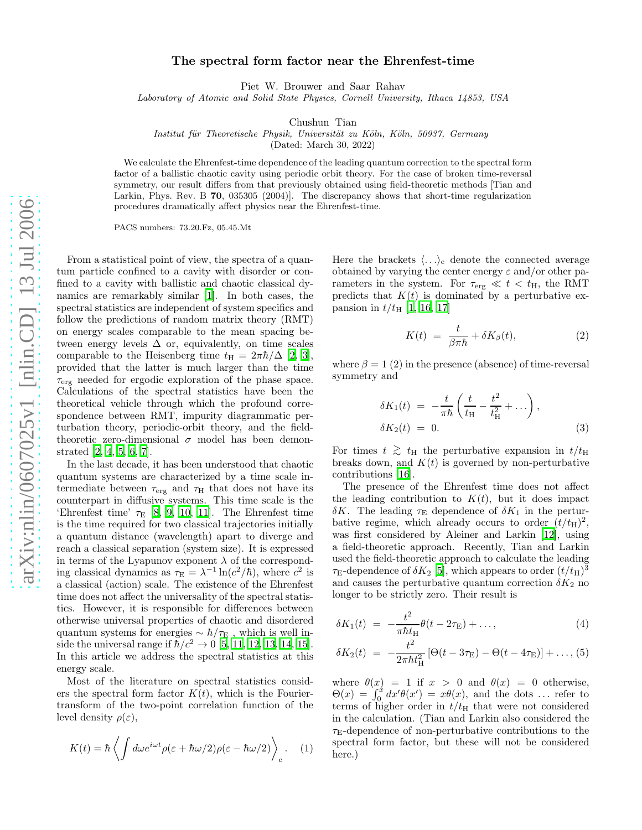## The spectral form factor near the Ehrenfest-time

Piet W. Brouwer and Saar Rahav

Laboratory of Atomic and Solid State Physics, Cornell University, Ithaca 14853, USA

Chushun Tian

Institut für Theoretische Physik, Universität zu Köln, Köln, 50937, Germany

(Dated: March 30, 2022)

We calculate the Ehrenfest-time dependence of the leading quantum correction to the spectral form factor of a ballistic chaotic cavity using periodic orbit theory. For the case of broken time-reversal symmetry, our result differs from that previously obtained using field-theoretic methods [Tian and Larkin, Phys. Rev. B 70, 035305 (2004)]. The discrepancy shows that short-time regularization procedures dramatically affect physics near the Ehrenfest-time.

PACS numbers: 73.20.Fz, 05.45.Mt

From a statistical point of view, the spectra of a quantum particle confined to a cavity with disorder or confined to a cavity with ballistic and chaotic classical dynamics are remarkably similar [\[1](#page-4-0)]. In both cases, the spectral statistics are independent of system specifics and follow the predictions of random matrix theory (RMT) on energy scales comparable to the mean spacing between energy levels  $\Delta$  or, equivalently, on time scales comparable to the Heisenberg time  $t_{\rm H} = 2\pi\hbar/\Delta$  [\[2,](#page-4-1) [3\]](#page-4-2), provided that the latter is much larger than the time  $\tau_{\text{erg}}$  needed for ergodic exploration of the phase space. Calculations of the spectral statistics have been the theoretical vehicle through which the profound correspondence between RMT, impurity diagrammatic perturbation theory, periodic-orbit theory, and the fieldtheoretic zero-dimensional  $\sigma$  model has been demonstrated [\[2,](#page-4-1) [4,](#page-4-3) [5,](#page-4-4) [6,](#page-4-5) [7\]](#page-4-6).

In the last decade, it has been understood that chaotic quantum systems are characterized by a time scale intermediate between  $\tau_{\text{erg}}$  and  $\tau_{\text{H}}$  that does not have its counterpart in diffusive systems. This time scale is the 'Ehrenfest time'  $\tau_E$  [\[8,](#page-4-7) [9](#page-4-8), [10,](#page-4-9) [11\]](#page-4-10). The Ehrenfest time is the time required for two classical trajectories initially a quantum distance (wavelength) apart to diverge and reach a classical separation (system size). It is expressed in terms of the Lyapunov exponent  $\lambda$  of the corresponding classical dynamics as  $\tau_{\rm E} = \lambda^{-1} \ln(c^2/\hbar)$ , where  $c^2$  is a classical (action) scale. The existence of the Ehrenfest time does not affect the universality of the spectral statistics. However, it is responsible for differences between otherwise universal properties of chaotic and disordered quantum systems for energies  $\sim \hbar/\tau_{\rm E}$  , which is well inside the universal range if  $\hbar/c^2 \to 0$  [\[5](#page-4-4), [11,](#page-4-10) [12](#page-4-11), [13,](#page-4-12) [14](#page-4-13), [15\]](#page-4-14). In this article we address the spectral statistics at this energy scale.

Most of the literature on spectral statistics considers the spectral form factor  $K(t)$ , which is the Fouriertransform of the two-point correlation function of the level density  $\rho(\varepsilon)$ ,

$$
K(t) = \hbar \left\langle \int d\omega e^{i\omega t} \rho(\varepsilon + \hbar \omega/2) \rho(\varepsilon - \hbar \omega/2) \right\rangle_c.
$$
 (1)

Here the brackets  $\langle \ldots \rangle_c$  denote the connected average obtained by varying the center energy  $\varepsilon$  and/or other parameters in the system. For  $\tau_{\rm erg} \ll t < t_{\rm H}$ , the RMT predicts that  $K(t)$  is dominated by a perturbative expansion in  $t/t_{\rm H}$  [\[1,](#page-4-0) [16,](#page-4-15) [17\]](#page-4-16)

$$
K(t) = \frac{t}{\beta \pi \hbar} + \delta K_{\beta}(t), \tag{2}
$$

<span id="page-0-0"></span>where  $\beta = 1$  (2) in the presence (absence) of time-reversal symmetry and

$$
\delta K_1(t) = -\frac{t}{\pi \hbar} \left( \frac{t}{t_H} - \frac{t^2}{t_H^2} + \ldots \right),
$$
  

$$
\delta K_2(t) = 0.
$$
 (3)

For times  $t \geq t_H$  the perturbative expansion in  $t/t_H$ breaks down, and  $K(t)$  is governed by non-perturbative contributions [\[16\]](#page-4-15).

The presence of the Ehrenfest time does not affect the leading contribution to  $K(t)$ , but it does impact δK. The leading  $\tau_{\rm E}$  dependence of δK<sub>1</sub> in the perturbative regime, which already occurs to order  $(t/t_{\rm H})^2$ , was first considered by Aleiner and Larkin [\[12\]](#page-4-11), using a field-theoretic approach. Recently, Tian and Larkin used the field-theoretic approach to calculate the leading  $\tau_{\rm E}$ -dependence of  $\delta K_2$  [\[5](#page-4-4)], which appears to order  $(t/t_{\rm H})^3$ and causes the perturbative quantum correction  $\delta K_2$  no longer to be strictly zero. Their result is

<span id="page-0-1"></span>
$$
\delta K_1(t) = -\frac{t^2}{\pi \hbar t_{\rm H}} \theta(t - 2\tau_{\rm E}) + ..., \qquad (4)
$$

$$
\delta K_2(t) = -\frac{t^2}{2\pi\hbar t_{\rm H}^2} \left[ \Theta(t - 3\tau_{\rm E}) - \Theta(t - 4\tau_{\rm E}) \right] + \dots, (5)
$$

where  $\theta(x) = 1$  if  $x > 0$  and  $\theta(x) = 0$  otherwise,  $\Theta(x) = \int_0^x dx' \theta(x') = x\theta(x)$ , and the dots ... refer to terms of higher order in  $t/t_H$  that were not considered in the calculation. (Tian and Larkin also considered the  $\tau_{\rm E}$ -dependence of non-perturbative contributions to the spectral form factor, but these will not be considered here.)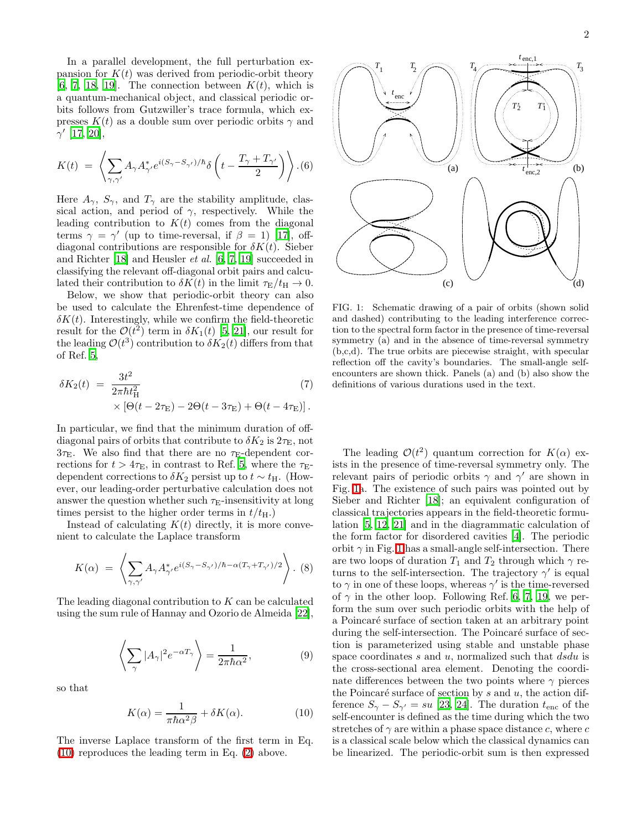In a parallel development, the full perturbation expansion for  $K(t)$  was derived from periodic-orbit theory [\[6,](#page-4-5) [7](#page-4-6), [18,](#page-4-17) [19](#page-4-18)]. The connection between  $K(t)$ , which is a quantum-mechanical object, and classical periodic orbits follows from Gutzwiller's trace formula, which expresses  $K(t)$  as a double sum over periodic orbits  $\gamma$  and  $\gamma'$  [\[17,](#page-4-16) [20\]](#page-4-19),

$$
K(t) = \left\langle \sum_{\gamma,\gamma'} A_{\gamma} A_{\gamma'}^* e^{i(S_{\gamma} - S_{\gamma'})/\hbar} \delta\left(t - \frac{T_{\gamma} + T_{\gamma'}}{2}\right) \right\rangle (6)
$$

Here  $A_{\gamma}$ ,  $S_{\gamma}$ , and  $T_{\gamma}$  are the stability amplitude, classical action, and period of  $\gamma$ , respectively. While the leading contribution to  $K(t)$  comes from the diagonal terms  $\gamma = \gamma'$  (up to time-reversal, if  $\beta = 1$ ) [\[17\]](#page-4-16), offdiagonal contributions are responsible for  $\delta K(t)$ . Sieber and Richter [\[18](#page-4-17)] and Heusler et al. [\[6,](#page-4-5) [7,](#page-4-6) [19\]](#page-4-18) succeeded in classifying the relevant off-diagonal orbit pairs and calculated their contribution to  $\delta K(t)$  in the limit  $\tau_{\rm E}/t_{\rm H} \rightarrow 0$ .

Below, we show that periodic-orbit theory can also be used to calculate the Ehrenfest-time dependence of  $\delta K(t)$ . Interestingly, while we confirm the field-theoretic result for the  $\mathcal{O}(t^2)$  term in  $\delta K_1(t)$  [\[5,](#page-4-4) [21\]](#page-4-20), our result for the leading  $\mathcal{O}(t^3)$  contribution to  $\delta K_2(t)$  differs from that of Ref. [5](#page-4-4),

<span id="page-1-2"></span>
$$
\delta K_2(t) = \frac{3t^2}{2\pi\hbar t_H^2} \tag{7}
$$
  
 
$$
\times \left[\Theta(t - 2\tau_E) - 2\Theta(t - 3\tau_E) + \Theta(t - 4\tau_E)\right].
$$

In particular, we find that the minimum duration of offdiagonal pairs of orbits that contribute to  $\delta K_2$  is  $2\tau_{\rm E}$ , not  $3\tau_{\rm E}$ . We also find that there are no  $\tau_{\rm E}$ -dependent corrections for  $t > 4\tau_{\rm E}$ , in contrast to Ref. [5](#page-4-4), where the  $\tau_{\rm E}$ dependent corrections to  $\delta K_2$  persist up to  $t \sim t_{\rm H}$ . (However, our leading-order perturbative calculation does not answer the question whether such  $\tau_{\text{E}}$ -insensitivity at long times persist to the higher order terms in  $t/t_{\text{H}}$ .)

Instead of calculating  $K(t)$  directly, it is more convenient to calculate the Laplace transform

$$
K(\alpha) = \left\langle \sum_{\gamma,\gamma'} A_{\gamma} A_{\gamma'}^* e^{i(S_{\gamma} - S_{\gamma'})/\hbar - \alpha(T_{\gamma} + T_{\gamma'})/2} \right\rangle. (8)
$$

The leading diagonal contribution to K can be calculated using the sum rule of Hannay and Ozorio de Almeida [\[22\]](#page-4-21),

$$
\left\langle \sum_{\gamma} |A_{\gamma}|^{2} e^{-\alpha T_{\gamma}} \right\rangle = \frac{1}{2\pi \hbar \alpha^{2}},\tag{9}
$$

<span id="page-1-0"></span>so that

$$
K(\alpha) = \frac{1}{\pi \hbar \alpha^2 \beta} + \delta K(\alpha). \tag{10}
$$

The inverse Laplace transform of the first term in Eq. [\(10\)](#page-1-0) reproduces the leading term in Eq. [\(2\)](#page-0-0) above.



<span id="page-1-1"></span>FIG. 1: Schematic drawing of a pair of orbits (shown solid and dashed) contributing to the leading interference correction to the spectral form factor in the presence of time-reversal symmetry (a) and in the absence of time-reversal symmetry (b,c,d). The true orbits are piecewise straight, with specular reflection off the cavity's boundaries. The small-angle selfencounters are shown thick. Panels (a) and (b) also show the definitions of various durations used in the text.

The leading  $\mathcal{O}(t^2)$  quantum correction for  $K(\alpha)$  exists in the presence of time-reversal symmetry only. The relevant pairs of periodic orbits  $\gamma$  and  $\gamma'$  are shown in Fig. [1a](#page-1-1). The existence of such pairs was pointed out by Sieber and Richter [\[18](#page-4-17)]; an equivalent configuration of classical trajectories appears in the field-theoretic formulation [\[5](#page-4-4), [12](#page-4-11), [21\]](#page-4-20) and in the diagrammatic calculation of the form factor for disordered cavities [\[4](#page-4-3)]. The periodic orbit  $\gamma$  in Fig. [1](#page-1-1) has a small-angle self-intersection. There are two loops of duration  $T_1$  and  $T_2$  through which  $\gamma$  returns to the self-intersection. The trajectory  $\gamma'$  is equal to  $\gamma$  in one of these loops, whereas  $\gamma'$  is the time-reversed of  $\gamma$  in the other loop. Following Ref. [6](#page-4-5), [7,](#page-4-6) [19,](#page-4-18) we perform the sum over such periodic orbits with the help of a Poincaré surface of section taken at an arbitrary point during the self-intersection. The Poincaré surface of section is parameterized using stable and unstable phase space coordinates  $s$  and  $u$ , normalized such that  $dsdu$  is the cross-sectional area element. Denoting the coordinate differences between the two points where  $\gamma$  pierces the Poincaré surface of section by s and u, the action difference  $S_{\gamma} - S_{\gamma'} = su$  [\[23](#page-4-22), [24\]](#page-4-23). The duration  $t_{\text{enc}}$  of the self-encounter is defined as the time during which the two stretches of  $\gamma$  are within a phase space distance c, where c is a classical scale below which the classical dynamics can be linearized. The periodic-orbit sum is then expressed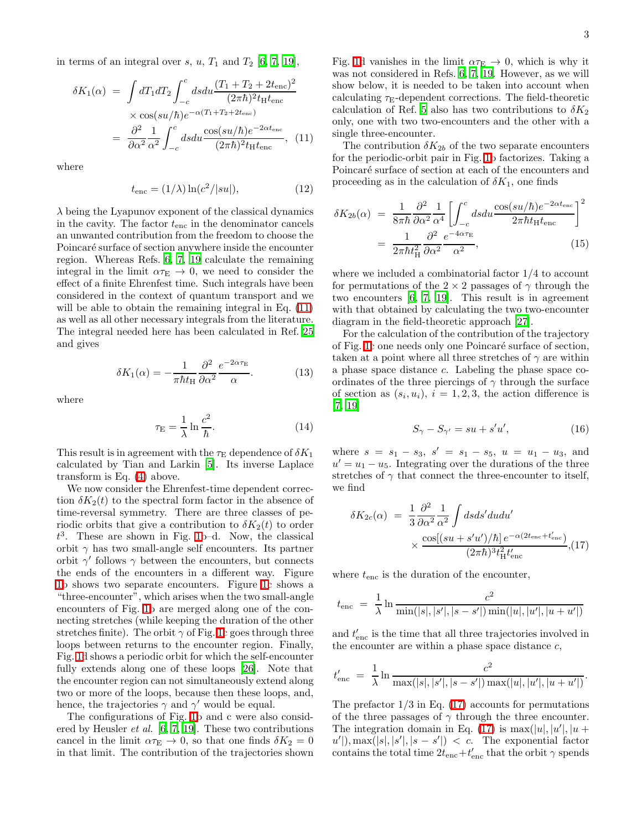<span id="page-2-0"></span>in terms of an integral over s, u,  $T_1$  and  $T_2$  [\[6](#page-4-5), [7](#page-4-6), [19](#page-4-18)],

$$
\delta K_1(\alpha) = \int dT_1 dT_2 \int_{-c}^{c} ds du \frac{(T_1 + T_2 + 2t_{\rm enc})^2}{(2\pi\hbar)^2 t_{\rm H} t_{\rm enc}}
$$

$$
\times \cos(su/\hbar) e^{-\alpha (T_1 + T_2 + 2t_{\rm enc})}
$$

$$
= \frac{\partial^2}{\partial \alpha^2} \frac{1}{\alpha^2} \int_{-c}^{c} ds du \frac{\cos(su/\hbar) e^{-2\alpha t_{\rm enc}}}{(2\pi\hbar)^2 t_{\rm H} t_{\rm enc}}, \quad (11)
$$

where

$$
t_{\rm enc} = (1/\lambda) \ln(c^2/|su|),\tag{12}
$$

 $\lambda$  being the Lyapunov exponent of the classical dynamics in the cavity. The factor  $t_{\text{enc}}$  in the denominator cancels an unwanted contribution from the freedom to choose the Poincaré surface of section anywhere inside the encounter region. Whereas Refs. [6](#page-4-5), [7](#page-4-6), [19](#page-4-18) calculate the remaining integral in the limit  $\alpha \tau_{\rm E} \rightarrow 0$ , we need to consider the effect of a finite Ehrenfest time. Such integrals have been considered in the context of quantum transport and we will be able to obtain the remaining integral in Eq.  $(11)$ as well as all other necessary integrals from the literature. The integral needed here has been calculated in Ref. [25](#page-4-24) and gives

$$
\delta K_1(\alpha) = -\frac{1}{\pi \hbar t_{\rm H}} \frac{\partial^2}{\partial \alpha^2} \frac{e^{-2\alpha \tau_{\rm E}}}{\alpha}.
$$
 (13)

where

$$
\tau_{\mathcal{E}} = \frac{1}{\lambda} \ln \frac{c^2}{\hbar}.
$$
 (14)

This result is in agreement with the  $\tau_{\rm E}$  dependence of  $\delta K_1$ calculated by Tian and Larkin [\[5\]](#page-4-4). Its inverse Laplace transform is Eq. [\(4\)](#page-0-1) above.

We now consider the Ehrenfest-time dependent correction  $\delta K_2(t)$  to the spectral form factor in the absence of time-reversal symmetry. There are three classes of periodic orbits that give a contribution to  $\delta K_2(t)$  to order  $t^3$ . These are shown in Fig. [1b](#page-1-1)-d. Now, the classical orbit  $\gamma$  has two small-angle self encounters. Its partner orbit  $\gamma'$  follows  $\gamma$  between the encounters, but connects the ends of the encounters in a different way. Figure [1b](#page-1-1) shows two separate encounters. Figure [1c](#page-1-1) shows a "three-encounter", which arises when the two small-angle encounters of Fig. [1b](#page-1-1) are merged along one of the connecting stretches (while keeping the duration of the other stretches finite). The orbit  $\gamma$  of Fig. [1c](#page-1-1) goes through three loops between returns to the encounter region. Finally, Fig. [1d](#page-1-1) shows a periodic orbit for which the self-encounter fully extends along one of these loops [\[26\]](#page-4-25). Note that the encounter region can not simultaneously extend along two or more of the loops, because then these loops, and, hence, the trajectories  $\gamma$  and  $\gamma'$  would be equal.

The configurations of Fig. [1b](#page-1-1) and c were also considered by Heusler et al. [\[6](#page-4-5), [7](#page-4-6), [19\]](#page-4-18). These two contributions cancel in the limit  $\alpha \tau_{\rm E} \rightarrow 0$ , so that one finds  $\delta K_2 = 0$ in that limit. The contribution of the trajectories shown

Fig. [1d](#page-1-1) vanishes in the limit  $\alpha \tau_{\rm E} \rightarrow 0$ , which is why it was not considered in Refs. [6](#page-4-5), [7](#page-4-6), [19](#page-4-18). However, as we will show below, it is needed to be taken into account when calculating  $\tau_{\rm E}$ -dependent corrections. The field-theoretic calculation of Ref. [5](#page-4-4) also has two contributions to  $\delta K_2$ only, one with two two-encounters and the other with a single three-encounter.

The contribution  $\delta K_{2b}$  of the two separate encounters for the periodic-orbit pair in Fig. [1b](#page-1-1) factorizes. Taking a Poincaré surface of section at each of the encounters and proceeding as in the calculation of  $\delta K_1$ , one finds

<span id="page-2-2"></span>
$$
\delta K_{2b}(\alpha) = \frac{1}{8\pi\hbar} \frac{\partial^2}{\partial \alpha^2} \frac{1}{\alpha^4} \left[ \int_{-c}^c ds du \frac{\cos(su/\hbar)e^{-2\alpha t_{\rm enc}}}{2\pi\hbar t_{\rm H} t_{\rm enc}} \right]^2
$$

$$
= \frac{1}{2\pi\hbar t_{\rm H}^2} \frac{\partial^2}{\partial \alpha^2} \frac{e^{-4\alpha \tau_{\rm E}}}{\alpha^2},\tag{15}
$$

where we included a combinatorial factor 1/4 to account for permutations of the  $2 \times 2$  passages of  $\gamma$  through the two encounters [\[6,](#page-4-5) [7,](#page-4-6) [19](#page-4-18)]. This result is in agreement with that obtained by calculating the two two-encounter diagram in the field-theoretic approach [\[27](#page-4-26)].

For the calculation of the contribution of the trajectory of Fig. [1c](#page-1-1) one needs only one Poincar´e surface of section, taken at a point where all three stretches of  $\gamma$  are within a phase space distance c. Labeling the phase space coordinates of the three piercings of  $\gamma$  through the surface of section as  $(s_i, u_i)$ ,  $i = 1, 2, 3$ , the action difference is  $[7, 19]$  $[7, 19]$ 

$$
S_{\gamma} - S_{\gamma'} = su + s'u',\tag{16}
$$

where  $s = s_1 - s_3$ ,  $s' = s_1 - s_5$ ,  $u = u_1 - u_3$ , and  $u' = u_1 - u_5$ . Integrating over the durations of the three stretches of  $\gamma$  that connect the three-encounter to itself, we find

<span id="page-2-1"></span>
$$
\delta K_{2c}(\alpha) = \frac{1}{3} \frac{\partial^2}{\partial \alpha^2} \frac{1}{\alpha^2} \int ds ds' du du' \times \frac{\cos[(su + s'u')/\hbar] e^{-\alpha(2t_{\text{enc}} + t'_{\text{enc}})}}{(2\pi\hbar)^3 t_H^2 t'_{\text{enc}}}, (17)
$$

where  $t_{\text{enc}}$  is the duration of the encounter,

$$
t_{\text{enc}} = \frac{1}{\lambda} \ln \frac{c^2}{\min(|s|, |s'|, |s - s'|)\min(|u|, |u'|, |u + u'|)}
$$

and  $t'_{\text{enc}}$  is the time that all three trajectories involved in the encounter are within a phase space distance  $c$ ,

$$
t'_{\text{enc}} = \frac{1}{\lambda} \ln \frac{c^2}{\max(|s|, |s'|, |s - s'|) \max(|u|, |u'|, |u + u'|)}.
$$

The prefactor  $1/3$  in Eq. [\(17\)](#page-2-1) accounts for permutations of the three passages of  $\gamma$  through the three encounter. The integration domain in Eq. [\(17\)](#page-2-1) is  $\max(|u|, |u'|, |u +$  $u'$ , max(|s|, |s'|, |s – s'|) < c. The exponential factor contains the total time  $2t_{\text{enc}}+t'_{\text{enc}}$  that the orbit  $\gamma$  spends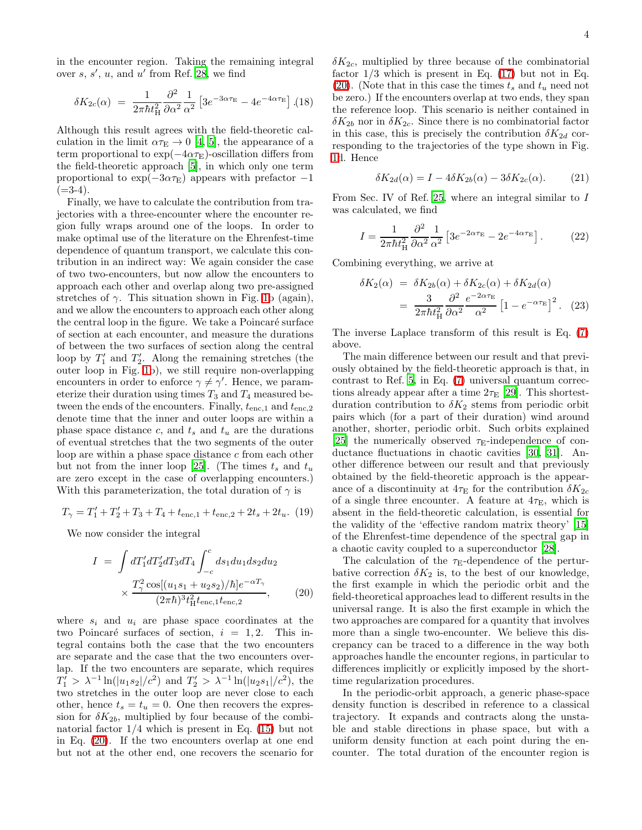in the encounter region. Taking the remaining integral over  $s, s', u$ , and  $u'$  from Ref. [28](#page-4-27), we find

$$
\delta K_{2c}(\alpha) = \frac{1}{2\pi\hbar t_{\rm H}^2} \frac{\partial^2}{\partial \alpha^2} \frac{1}{\alpha^2} \left[ 3e^{-3\alpha\tau_{\rm E}} - 4e^{-4\alpha\tau_{\rm E}} \right]. (18)
$$

Although this result agrees with the field-theoretic calculation in the limit  $\alpha \tau_{\rm E} \rightarrow 0$  [\[4](#page-4-3), [5](#page-4-4)], the appearance of a term proportional to  $\exp(-4\alpha\tau_{\rm E})$ -oscillation differs from the field-theoretic approach [\[5\]](#page-4-4), in which only one term proportional to  $\exp(-3\alpha\tau_{\rm E})$  appears with prefactor  $-1$  $(=3-4).$ 

Finally, we have to calculate the contribution from trajectories with a three-encounter where the encounter region fully wraps around one of the loops. In order to make optimal use of the literature on the Ehrenfest-time dependence of quantum transport, we calculate this contribution in an indirect way: We again consider the case of two two-encounters, but now allow the encounters to approach each other and overlap along two pre-assigned stretches of  $\gamma$ . This situation shown in Fig. [1b](#page-1-1) (again), and we allow the encounters to approach each other along the central loop in the figure. We take a Poincaré surface of section at each encounter, and measure the durations of between the two surfaces of section along the central loop by  $T_1'$  and  $T_2'$ . Along the remaining stretches (the outer loop in Fig. [1b](#page-1-1)), we still require non-overlapping encounters in order to enforce  $\gamma \neq \gamma'$ . Hence, we parameterize their duration using times  $T_3$  and  $T_4$  measured between the ends of the encounters. Finally,  $t_{\text{enc},1}$  and  $t_{\text{enc},2}$ denote time that the inner and outer loops are within a phase space distance c, and  $t_s$  and  $t_u$  are the durations of eventual stretches that the two segments of the outer loop are within a phase space distance  $c$  from each other but not from the inner loop [\[25\]](#page-4-24). (The times  $t_s$  and  $t_u$ are zero except in the case of overlapping encounters.) With this parameterization, the total duration of  $\gamma$  is

$$
T_{\gamma}=T_1'+T_2'+T_3+T_4+t_{\mathrm{enc},1}+t_{\mathrm{enc},2}+2t_s+2t_u. \eqno(19)
$$

<span id="page-3-0"></span>We now consider the integral

$$
I = \int dT_1' dT_2' dT_3 dT_4 \int_{-c}^{c} ds_1 du_1 ds_2 du_2
$$

$$
\times \frac{T_\gamma^2 \cos[(u_1 s_1 + u_2 s_2)/\hbar] e^{-\alpha T_\gamma}}{(2\pi \hbar)^3 t_H^2 t_{\text{enc},1} t_{\text{enc},2}}, \qquad (20)
$$

where  $s_i$  and  $u_i$  are phase space coordinates at the two Poincaré surfaces of section,  $i = 1, 2$ . This integral contains both the case that the two encounters are separate and the case that the two encounters overlap. If the two encounters are separate, which requires  $T_1$  >  $\lambda^{-1} \ln(|u_1 s_2|/c^2)$  and  $T_2$  >  $\lambda^{-1} \ln(|u_2 s_1|/c^2)$ , the two stretches in the outer loop are never close to each other, hence  $t_s = t_u = 0$ . One then recovers the expression for  $\delta K_{2b}$ , multiplied by four because of the combinatorial factor  $1/4$  which is present in Eq. [\(15\)](#page-2-2) but not in Eq. [\(20\)](#page-3-0). If the two encounters overlap at one end but not at the other end, one recovers the scenario for

 $\delta K_{2c}$ , multiplied by three because of the combinatorial factor  $1/3$  which is present in Eq.  $(17)$  but not in Eq. [\(20\)](#page-3-0). (Note that in this case the times  $t_s$  and  $t_u$  need not be zero.) If the encounters overlap at two ends, they span the reference loop. This scenario is neither contained in  $\delta K_{2b}$  nor in  $\delta K_{2c}$ . Since there is no combinatorial factor in this case, this is precisely the contribution  $\delta K_{2d}$  corresponding to the trajectories of the type shown in Fig. [1d](#page-1-1). Hence

$$
\delta K_{2d}(\alpha) = I - 4\delta K_{2b}(\alpha) - 3\delta K_{2c}(\alpha). \tag{21}
$$

From Sec. IV of Ref. [25](#page-4-24), where an integral similar to I was calculated, we find

$$
I = \frac{1}{2\pi\hbar t_{\rm H}^2} \frac{\partial^2}{\partial \alpha^2} \frac{1}{\alpha^2} \left[ 3e^{-2\alpha\tau_{\rm E}} - 2e^{-4\alpha\tau_{\rm E}} \right]. \tag{22}
$$

Combining everything, we arrive at

$$
\delta K_2(\alpha) = \delta K_{2b}(\alpha) + \delta K_{2c}(\alpha) + \delta K_{2d}(\alpha)
$$

$$
= \frac{3}{2\pi \hbar t_H^2} \frac{\partial^2}{\partial \alpha^2} \frac{e^{-2\alpha \tau_E}}{\alpha^2} \left[1 - e^{-\alpha \tau_E}\right]^2. \tag{23}
$$

The inverse Laplace transform of this result is Eq. [\(7\)](#page-1-2) above.

The main difference between our result and that previously obtained by the field-theoretic approach is that, in contrast to Ref. [5,](#page-4-4) in Eq. [\(7\)](#page-1-2) universal quantum corrections already appear after a time  $2\tau_{\rm E}$  [\[29](#page-4-28)]. This shortestduration contribution to  $\delta K_2$  stems from periodic orbit pairs which (for a part of their duration) wind around another, shorter, periodic orbit. Such orbits explained [\[25\]](#page-4-24) the numerically observed  $\tau_{\text{E}}$ -independence of conductance fluctuations in chaotic cavities [\[30,](#page-4-29) [31\]](#page-4-30). Another difference between our result and that previously obtained by the field-theoretic approach is the appearance of a discontinuity at  $4\tau_{\rm E}$  for the contribution  $\delta K_{2c}$ of a single three encounter. A feature at  $4\tau_{\rm E}$ , which is absent in the field-theoretic calculation, is essential for the validity of the 'effective random matrix theory' [\[15](#page-4-14)] of the Ehrenfest-time dependence of the spectral gap in a chaotic cavity coupled to a superconductor [\[28\]](#page-4-27).

The calculation of the  $\tau_{\rm E}$ -dependence of the perturbative correction  $\delta K_2$  is, to the best of our knowledge, the first example in which the periodic orbit and the field-theoretical approaches lead to different results in the universal range. It is also the first example in which the two approaches are compared for a quantity that involves more than a single two-encounter. We believe this discrepancy can be traced to a difference in the way both approaches handle the encounter regions, in particular to differences implicitly or explicitly imposed by the shorttime regularization procedures.

In the periodic-orbit approach, a generic phase-space density function is described in reference to a classical trajectory. It expands and contracts along the unstable and stable directions in phase space, but with a uniform density function at each point during the encounter. The total duration of the encounter region is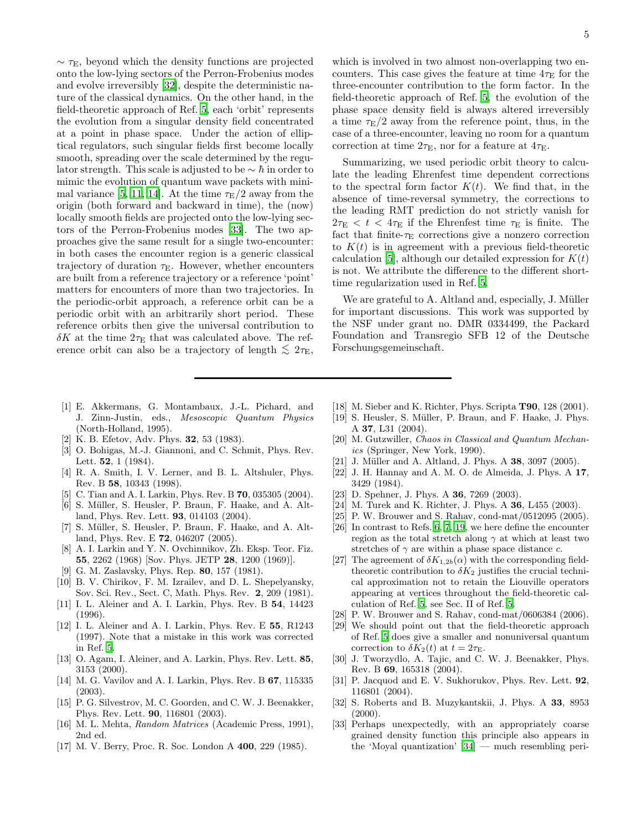$\sim \tau_{\rm E}$ , beyond which the density functions are projected onto the low-lying sectors of the Perron-Frobenius modes and evolve irreversibly [\[32\]](#page-4-31), despite the deterministic nature of the classical dynamics. On the other hand, in the field-theoretic approach of Ref. [5](#page-4-4), each 'orbit' represents the evolution from a singular density field concentrated at a point in phase space. Under the action of elliptical regulators, such singular fields first become locally smooth, spreading over the scale determined by the regulator strength. This scale is adjusted to be  $\sim \hbar$  in order to mimic the evolution of quantum wave packets with mini-mal variance [\[5,](#page-4-4) [11](#page-4-10), [14](#page-4-13)]. At the time  $\tau_{\rm E}/2$  away from the origin (both forward and backward in time), the (now) locally smooth fields are projected onto the low-lying sectors of the Perron-Frobenius modes [\[33](#page-4-32)]. The two approaches give the same result for a single two-encounter: in both cases the encounter region is a generic classical trajectory of duration  $\tau_{\rm E}$ . However, whether encounters are built from a reference trajectory or a reference 'point' matters for encounters of more than two trajectories. In the periodic-orbit approach, a reference orbit can be a periodic orbit with an arbitrarily short period. These reference orbits then give the universal contribution to  $\delta K$  at the time  $2\tau_{\rm E}$  that was calculated above. The reference orbit can also be a trajectory of length  $\lesssim 2\tau_{\rm E}$ ,

- <span id="page-4-0"></span>[1] E. Akkermans, G. Montambaux, J.-L. Pichard, and J. Zinn-Justin, eds., Mesoscopic Quantum Physics (North-Holland, 1995).
- <span id="page-4-1"></span>[2] K. B. Efetov, Adv. Phys. 32, 53 (1983).
- <span id="page-4-2"></span>[3] O. Bohigas, M.-J. Giannoni, and C. Schmit, Phys. Rev. Lett. **52**, 1 (1984).
- <span id="page-4-3"></span>[4] R. A. Smith, I. V. Lerner, and B. L. Altshuler, Phys. Rev. B 58, 10343 (1998).
- <span id="page-4-4"></span>C. Tian and A. I. Larkin, Phys. Rev. B **70**, 035305 (2004).
- <span id="page-4-5"></span>[6] S. Müller, S. Heusler, P. Braun, F. Haake, and A. Altland, Phys. Rev. Lett. 93, 014103 (2004).
- <span id="page-4-6"></span>[7] S. Müller, S. Heusler, P. Braun, F. Haake, and A. Altland, Phys. Rev. E 72, 046207 (2005).
- <span id="page-4-7"></span>[8] A. I. Larkin and Y. N. Ovchinnikov, Zh. Eksp. Teor. Fiz. 55, 2262 (1968) [Sov. Phys. JETP 28, 1200 (1969)].
- [9] G. M. Zaslavsky, Phys. Rep. 80, 157 (1981).
- <span id="page-4-9"></span><span id="page-4-8"></span>[10] B. V. Chirikov, F. M. Izrailev, and D. L. Shepelyansky, Sov. Sci. Rev., Sect. C, Math. Phys. Rev. 2, 209 (1981).
- <span id="page-4-10"></span>[11] I. L. Aleiner and A. I. Larkin, Phys. Rev. B 54, 14423 (1996).
- <span id="page-4-11"></span>[12] I. L. Aleiner and A. I. Larkin, Phys. Rev. E 55, R1243 (1997). Note that a mistake in this work was corrected in Ref. [5](#page-4-4).
- <span id="page-4-12"></span>[13] O. Agam, I. Aleiner, and A. Larkin, Phys. Rev. Lett. 85, 3153 (2000).
- <span id="page-4-13"></span>[14] M. G. Vavilov and A. I. Larkin, Phys. Rev. B 67, 115335 (2003).
- <span id="page-4-14"></span>[15] P. G. Silvestrov, M. C. Goorden, and C. W. J. Beenakker, Phys. Rev. Lett. 90, 116801 (2003).
- <span id="page-4-15"></span>[16] M. L. Mehta, Random Matrices (Academic Press, 1991), 2nd ed.
- <span id="page-4-16"></span>[17] M. V. Berry, Proc. R. Soc. London A 400, 229 (1985).

which is involved in two almost non-overlapping two encounters. This case gives the feature at time  $4\tau_{\rm E}$  for the three-encounter contribution to the form factor. In the field-theoretic approach of Ref. [5](#page-4-4), the evolution of the phase space density field is always altered irreversibly a time  $\tau_{\rm E}/2$  away from the reference point, thus, in the case of a three-encounter, leaving no room for a quantum correction at time  $2\tau_{\rm E}$ , nor for a feature at  $4\tau_{\rm E}$ .

Summarizing, we used periodic orbit theory to calculate the leading Ehrenfest time dependent corrections to the spectral form factor  $K(t)$ . We find that, in the absence of time-reversal symmetry, the corrections to the leading RMT prediction do not strictly vanish for  $2\tau_{\rm E}$   $\langle t \rangle$  t  $\langle 4\tau_{\rm E}$  if the Ehrenfest time  $\tau_{\rm E}$  is finite. The fact that finite- $\tau_{\rm E}$  corrections give a nonzero correction to  $K(t)$  is in agreement with a previous field-theoretic calculation [\[5\]](#page-4-4), although our detailed expression for  $K(t)$ is not. We attribute the difference to the different shorttime regularization used in Ref. [5](#page-4-4).

We are grateful to A. Altland and, especially, J. Müller for important discussions. This work was supported by the NSF under grant no. DMR 0334499, the Packard Foundation and Transregio SFB 12 of the Deutsche Forschungsgemeinschaft.

- <span id="page-4-17"></span>[18] M. Sieber and K. Richter, Phys. Scripta T90, 128 (2001).
- <span id="page-4-18"></span>[19] S. Heusler, S. Müller, P. Braun, and F. Haake, J. Phys. A 37, L31 (2004).
- <span id="page-4-19"></span>[20] M. Gutzwiller, Chaos in Classical and Quantum Mechanics (Springer, New York, 1990).
- <span id="page-4-20"></span>[21] J. Müller and A. Altland, J. Phys. A 38, 3097 (2005).
- <span id="page-4-21"></span>[22] J. H. Hannay and A. M. O. de Almeida, J. Phys. A 17, 3429 (1984).
- <span id="page-4-22"></span>[23] D. Spehner, J. Phys. A **36**, 7269 (2003).
- <span id="page-4-23"></span>[24] M. Turek and K. Richter, J. Phys. A **36**, L455 (2003).
- <span id="page-4-24"></span>[25] P. W. Brouwer and S. Rahav, cond-mat/0512095 (2005).
- <span id="page-4-25"></span>[26] In contrast to Refs. [6](#page-4-5), [7](#page-4-6), [19,](#page-4-18) we here define the encounter region as the total stretch along  $\gamma$  at which at least two stretches of  $\gamma$  are within a phase space distance c.
- <span id="page-4-26"></span>[27] The agreement of  $\delta K_{1,2b}(\alpha)$  with the corresponding fieldtheoretic contribution to  $\delta K_2$  justifies the crucial technical approximation not to retain the Liouville operators appearing at vertices throughout the field-theoretic calculation of Ref. [5](#page-4-4), see Sec. II of Ref. [5.](#page-4-4)
- <span id="page-4-27"></span>[28] P. W. Brouwer and S. Rahav, cond-mat/0606384 (2006).
- <span id="page-4-28"></span>[29] We should point out that the field-theoretic approach of Ref. [5](#page-4-4) does give a smaller and nonuniversal quantum correction to  $\delta K_2(t)$  at  $t = 2\tau_{\rm E}$ .
- <span id="page-4-29"></span>[30] J. Tworzydlo, A. Tajic, and C. W. J. Beenakker, Phys. Rev. B 69, 165318 (2004).
- <span id="page-4-30"></span>[31] P. Jacquod and E. V. Sukhorukov, Phys. Rev. Lett. 92, 116801 (2004).
- <span id="page-4-31"></span>[32] S. Roberts and B. Muzykantskii, J. Phys. A 33, 8953  $(2000).$
- <span id="page-4-32"></span>[33] Perhaps unexpectedly, with an appropriately coarse grained density function this principle also appears in the 'Moyal quantization' [\[34](#page-5-0)] — much resembling peri-